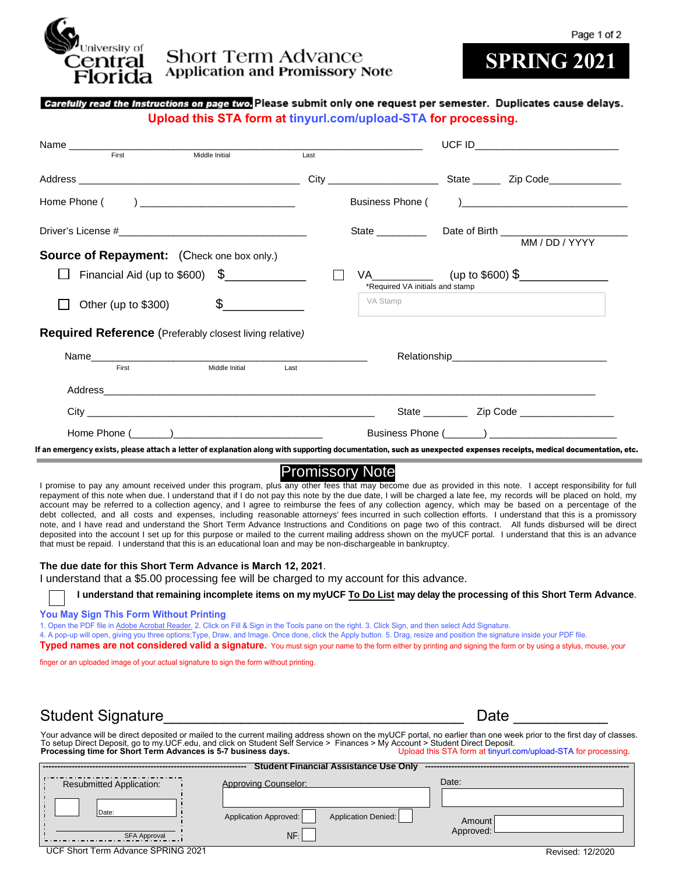

### **Short Term Advance Application and Promissory Note**

# **SPRING 2021**

#### Carefully read the Instructions on page two. Please submit only one request per semester. Duplicates cause delays. **Upload this STA form at tinyurl.com/upload-STA for processing.**

| Middle Initial<br>First                                                                                                                                                                                                                                           | Last |                                                        |  |                                                                                                                                                                                                                                |
|-------------------------------------------------------------------------------------------------------------------------------------------------------------------------------------------------------------------------------------------------------------------|------|--------------------------------------------------------|--|--------------------------------------------------------------------------------------------------------------------------------------------------------------------------------------------------------------------------------|
|                                                                                                                                                                                                                                                                   |      |                                                        |  |                                                                                                                                                                                                                                |
| Home Phone ( ) ______________________________                                                                                                                                                                                                                     |      |                                                        |  | Business Phone () and the contract of the contract of the contract of the contract of the contract of the contract of the contract of the contract of the contract of the contract of the contract of the contract of the cont |
| <b>Source of Repayment:</b> (Check one box only.)                                                                                                                                                                                                                 |      |                                                        |  |                                                                                                                                                                                                                                |
| Financial Aid (up to $$600$ ) $$$                                                                                                                                                                                                                                 |      | VA (up to \$600) \$<br>*Required VA initials and stamp |  |                                                                                                                                                                                                                                |
| $\frac{1}{2}$<br>Other (up to \$300)                                                                                                                                                                                                                              |      | VA Stamp                                               |  |                                                                                                                                                                                                                                |
| <b>Required Reference</b> (Preferably closest living relative)                                                                                                                                                                                                    |      |                                                        |  |                                                                                                                                                                                                                                |
| Name and the contract of the contract of the contract of the contract of the contract of the contract of the contract of the contract of the contract of the contract of the contract of the contract of the contract of the c<br>Middle Initial<br>First<br>Last |      |                                                        |  |                                                                                                                                                                                                                                |
|                                                                                                                                                                                                                                                                   |      |                                                        |  |                                                                                                                                                                                                                                |
|                                                                                                                                                                                                                                                                   |      |                                                        |  |                                                                                                                                                                                                                                |
|                                                                                                                                                                                                                                                                   |      |                                                        |  |                                                                                                                                                                                                                                |

If an emergency exists, please attach a letter of explanation along with supporting documentation, such as unexpected expenses receipts, medical documentation, etc.

### Promissory Note

I promise to pay any amount received under this program, plus any other fees that may become due as provided in this note. I accept responsibility for full repayment of this note when due. I understand that if I do not pay this note by the due date, I will be charged a late fee, my records will be placed on hold, my account may be referred to a collection agency, and I agree to reimburse the fees of any collection agency, which may be based on a percentage of the debt collected, and all costs and expenses, including reasonable attorneys' fees incurred in such collection efforts. I understand that this is a promissory note, and I have read and understand the Short Term Advance Instructions and Conditions on page two of this contract. All funds disbursed will be direct deposited into the account I set up for this purpose or mailed to the current mailing address shown on the myUCF portal. I understand that this is an advance that must be repaid. I understand that this is an educational loan and may be non-dischargeable in bankruptcy.

#### **The due date for this Short Term Advance is March 12, 2021**.

I understand that a \$5.00 processing fee will be charged to my account for this advance.

**I understand that remaining incomplete items on my myUCF To Do List may delay the processing of this Short Term Advance**.

**You May Sign This Form Without Printing**

1. Open the PDF file in Adobe Acrobat Reader. 2. Click on Fill & Sign in the Tools pane on the right. 3. Click Sign, and then select Add Signature.

4. A pop-up will open, giving you three options;Type, Draw, and Image. Once done, click the Apply button. 5. Drag, resize and position the signature inside your PDF file.

**Typed names are not considered valid a signature.** You must sign your name to the form either by printing and signing the form or by using a stylus, mouse, your

finger or an uploaded image of your actual signature to sign the form without printing.

### Student Signature **Example 20** and the student Signature **Date** 20 and 20 and 20 and 20 and 20 and 20 and 20 and 20 and 20 and 20 and 20 and 20 and 20 and 20 and 20 and 20 and 20 and 20 and 20 and 20 and 20 and 20 and 20 a

Your advance will be direct deposited or mailed to the current mailing address shown on the myUCF portal, no earlier than one week prior to the first day of classes.<br>To setup Direct Deposit, go to my.UCF.edu, and click on **Processing time for Short Term Advances is 5-7 business days.** Upload this STA form at tinyurl.com/upload-STA for processing.

| <b>Student Financial Assistance Use Only</b>                             |                             |                     |           |  |  |  |
|--------------------------------------------------------------------------|-----------------------------|---------------------|-----------|--|--|--|
| <b>Resubmitted Application:</b>                                          | <b>Approving Counselor:</b> |                     | Date:     |  |  |  |
| Date:                                                                    | Application Approved:       | Application Denied: | Amount    |  |  |  |
| <b>SFA Approval</b><br>$\cdots$ $\sim$ $\sim$<br>$\sum_{n=1}^{n}$<br>. . | NF:                         |                     | Approved: |  |  |  |

UCF Short Term Advance SPRING 2021 Revised: 12/2020